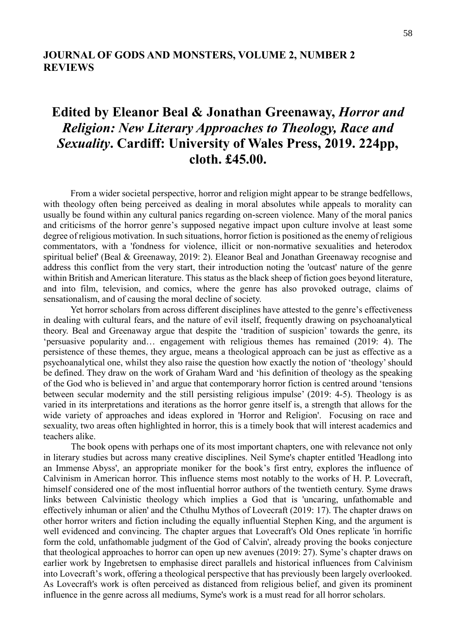## **JOURNAL OF GODS AND MONSTERS, VOLUME 2, NUMBER 2 REVIEWS**

## **Edited by Eleanor Beal & Jonathan Greenaway,** *Horror and Religion: New Literary Approaches to Theology, Race and Sexuality***. Cardiff: University of Wales Press, 2019. 224pp, cloth. £45.00.**

From a wider societal perspective, horror and religion might appear to be strange bedfellows, with theology often being perceived as dealing in moral absolutes while appeals to morality can usually be found within any cultural panics regarding on-screen violence. Many of the moral panics and criticisms of the horror genre's supposed negative impact upon culture involve at least some degree of religious motivation. In such situations, horror fiction is positioned as the enemy of religious commentators, with a 'fondness for violence, illicit or non-normative sexualities and heterodox spiritual belief' (Beal & Greenaway, 2019: 2). Eleanor Beal and Jonathan Greenaway recognise and address this conflict from the very start, their introduction noting the 'outcast' nature of the genre within British and American literature. This status as the black sheep of fiction goes beyond literature, and into film, television, and comics, where the genre has also provoked outrage, claims of sensationalism, and of causing the moral decline of society.

Yet horror scholars from across different disciplines have attested to the genre's effectiveness in dealing with cultural fears, and the nature of evil itself, frequently drawing on psychoanalytical theory. Beal and Greenaway argue that despite the 'tradition of suspicion' towards the genre, its 'persuasive popularity and… engagement with religious themes has remained (2019: 4). The persistence of these themes, they argue, means a theological approach can be just as effective as a psychoanalytical one, whilst they also raise the question how exactly the notion of 'theology' should be defined. They draw on the work of Graham Ward and 'his definition of theology as the speaking of the God who is believed in' and argue that contemporary horror fiction is centred around 'tensions between secular modernity and the still persisting religious impulse' (2019: 4-5). Theology is as varied in its interpretations and iterations as the horror genre itself is, a strength that allows for the wide variety of approaches and ideas explored in 'Horror and Religion'. Focusing on race and sexuality, two areas often highlighted in horror, this is a timely book that will interest academics and teachers alike.

The book opens with perhaps one of its most important chapters, one with relevance not only in literary studies but across many creative disciplines. Neil Syme's chapter entitled 'Headlong into an Immense Abyss', an appropriate moniker for the book's first entry, explores the influence of Calvinism in American horror. This influence stems most notably to the works of H. P. Lovecraft, himself considered one of the most influential horror authors of the twentieth century. Syme draws links between Calvinistic theology which implies a God that is 'uncaring, unfathomable and effectively inhuman or alien' and the Cthulhu Mythos of Lovecraft (2019: 17). The chapter draws on other horror writers and fiction including the equally influential Stephen King, and the argument is well evidenced and convincing. The chapter argues that Lovecraft's Old Ones replicate 'in horrific form the cold, unfathomable judgment of the God of Calvin', already proving the books conjecture that theological approaches to horror can open up new avenues (2019: 27). Syme's chapter draws on earlier work by Ingebretsen to emphasise direct parallels and historical influences from Calvinism into Lovecraft's work, offering a theological perspective that has previously been largely overlooked. As Lovecraft's work is often perceived as distanced from religious belief, and given its prominent influence in the genre across all mediums, Syme's work is a must read for all horror scholars.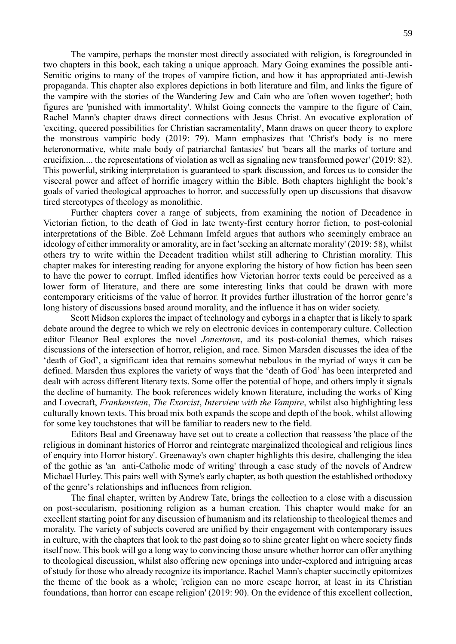The vampire, perhaps the monster most directly associated with religion, is foregrounded in two chapters in this book, each taking a unique approach. Mary Going examines the possible anti-Semitic origins to many of the tropes of vampire fiction, and how it has appropriated anti-Jewish propaganda. This chapter also explores depictions in both literature and film, and links the figure of the vampire with the stories of the Wandering Jew and Cain who are 'often woven together'; both figures are 'punished with immortality'. Whilst Going connects the vampire to the figure of Cain, Rachel Mann's chapter draws direct connections with Jesus Christ. An evocative exploration of 'exciting, queered possibilities for Christian sacramentality', Mann draws on queer theory to explore the monstrous vampiric body (2019: 79). Mann emphasizes that 'Christ's body is no mere heteronormative, white male body of patriarchal fantasies' but 'bears all the marks of torture and crucifixion.... the representations of violation as well as signaling new transformed power' (2019: 82). This powerful, striking interpretation is guaranteed to spark discussion, and forces us to consider the visceral power and affect of horrific imagery within the Bible. Both chapters highlight the book's goals of varied theological approaches to horror, and successfully open up discussions that disavow tired stereotypes of theology as monolithic.

Further chapters cover a range of subjects, from examining the notion of Decadence in Victorian fiction, to the death of God in late twenty-first century horror fiction, to post-colonial interpretations of the Bible. Zoë Lehmann Imfeld argues that authors who seemingly embrace an ideology of either immorality or amorality, are in fact 'seeking an alternate morality' (2019: 58), whilst others try to write within the Decadent tradition whilst still adhering to Christian morality. This chapter makes for interesting reading for anyone exploring the history of how fiction has been seen to have the power to corrupt. Imfled identifies how Victorian horror texts could be perceived as a lower form of literature, and there are some interesting links that could be drawn with more contemporary criticisms of the value of horror. It provides further illustration of the horror genre's long history of discussions based around morality, and the influence it has on wider society.

Scott Midson explores the impact of technology and cyborgs in a chapter that is likely to spark debate around the degree to which we rely on electronic devices in contemporary culture. Collection editor Eleanor Beal explores the novel *Jonestown*, and its post-colonial themes, which raises discussions of the intersection of horror, religion, and race. Simon Marsden discusses the idea of the 'death of God', a significant idea that remains somewhat nebulous in the myriad of ways it can be defined. Marsden thus explores the variety of ways that the 'death of God' has been interpreted and dealt with across different literary texts. Some offer the potential of hope, and others imply it signals the decline of humanity. The book references widely known literature, including the works of King and Lovecraft, *Frankenstein*, *The Exorcist*, *Interview with the Vampire*, whilst also highlighting less culturally known texts. This broad mix both expands the scope and depth of the book, whilst allowing for some key touchstones that will be familiar to readers new to the field.

Editors Beal and Greenaway have set out to create a collection that reassess 'the place of the religious in dominant histories of Horror and reintegrate marginalized theological and religious lines of enquiry into Horror history'. Greenaway's own chapter highlights this desire, challenging the idea of the gothic as 'an anti-Catholic mode of writing' through a case study of the novels of Andrew Michael Hurley. This pairs well with Syme's early chapter, as both question the established orthodoxy of the genre's relationships and influences from religion.

The final chapter, written by Andrew Tate, brings the collection to a close with a discussion on post-secularism, positioning religion as a human creation. This chapter would make for an excellent starting point for any discussion of humanism and its relationship to theological themes and morality. The variety of subjects covered are unified by their engagement with contemporary issues in culture, with the chapters that look to the past doing so to shine greater light on where society finds itself now. This book will go a long way to convincing those unsure whether horror can offer anything to theological discussion, whilst also offering new openings into under-explored and intriguing areas of study for those who already recognize its importance. Rachel Mann's chapter succinctly epitomizes the theme of the book as a whole; 'religion can no more escape horror, at least in its Christian foundations, than horror can escape religion' (2019: 90). On the evidence of this excellent collection,